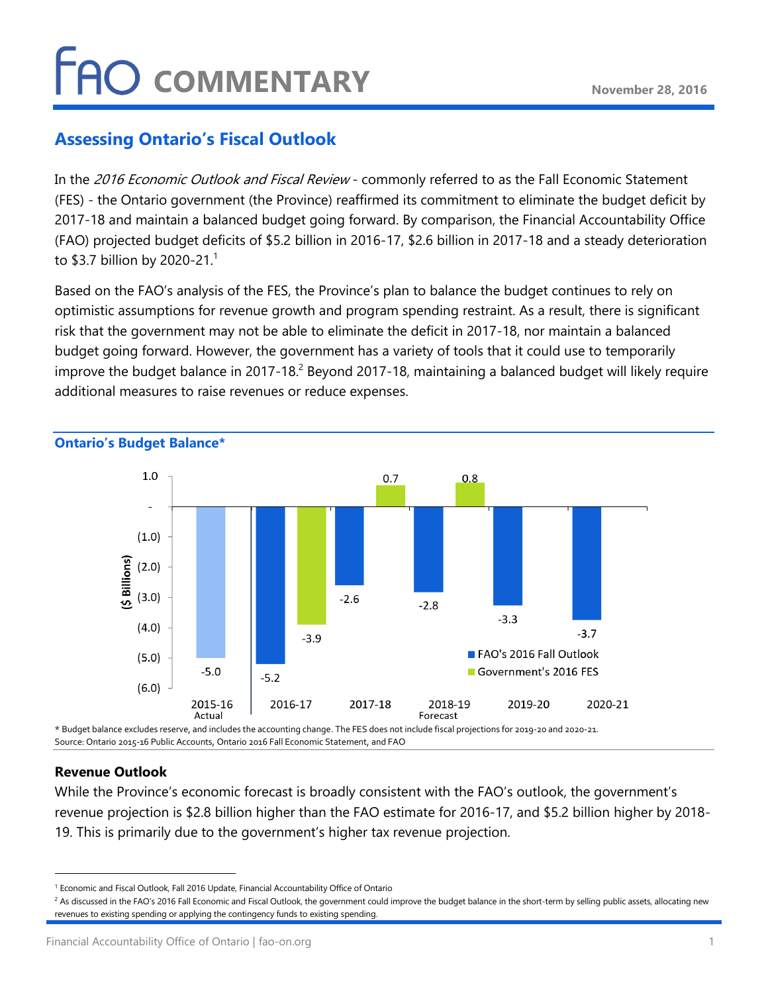# **FAO COMMENTARY**

### **Assessing Ontario's Fiscal Outlook**

In the 2016 Economic Outlook and Fiscal Review - commonly referred to as the Fall Economic Statement (FES) - the Ontario government (the Province) reaffirmed its commitment to eliminate the budget deficit by 2017-18 and maintain a balanced budget going forward. By comparison, the Financial Accountability Office (FAO) projected budget deficits of \$5.2 billion in 2016-17, \$2.6 billion in 2017-18 and a steady deterioration to \$3.7 billion by 2020-21.<sup>1</sup>

Based on the FAO's analysis of the FES, the Province's plan to balance the budget continues to rely on optimistic assumptions for revenue growth and program spending restraint. As a result, there is significant risk that the government may not be able to eliminate the deficit in 2017-18, nor maintain a balanced budget going forward. However, the government has a variety of tools that it could use to temporarily improve the budget balance in 2017-18.<sup>2</sup> Beyond 2017-18, maintaining a balanced budget will likely require additional measures to raise revenues or reduce expenses.



Source: Ontario 2015-16 Public Accounts, Ontario 2016 Fall Economic Statement, and FAO

### **Revenue Outlook**

While the Province's economic forecast is broadly consistent with the FAO's outlook, the government's revenue projection is \$2.8 billion higher than the FAO estimate for 2016-17, and \$5.2 billion higher by 2018- 19. This is primarily due to the government's higher tax revenue projection.

<sup>1</sup> Economic and Fiscal Outlook, Fall 2016 Update, Financial Accountability Office of Ontario

<sup>&</sup>lt;sup>2</sup> As discussed in the FAO's 2016 Fall Economic and Fiscal Outlook, the government could improve the budget balance in the short-term by selling public assets, allocating new revenues to existing spending or applying the contingency funds to existing spending.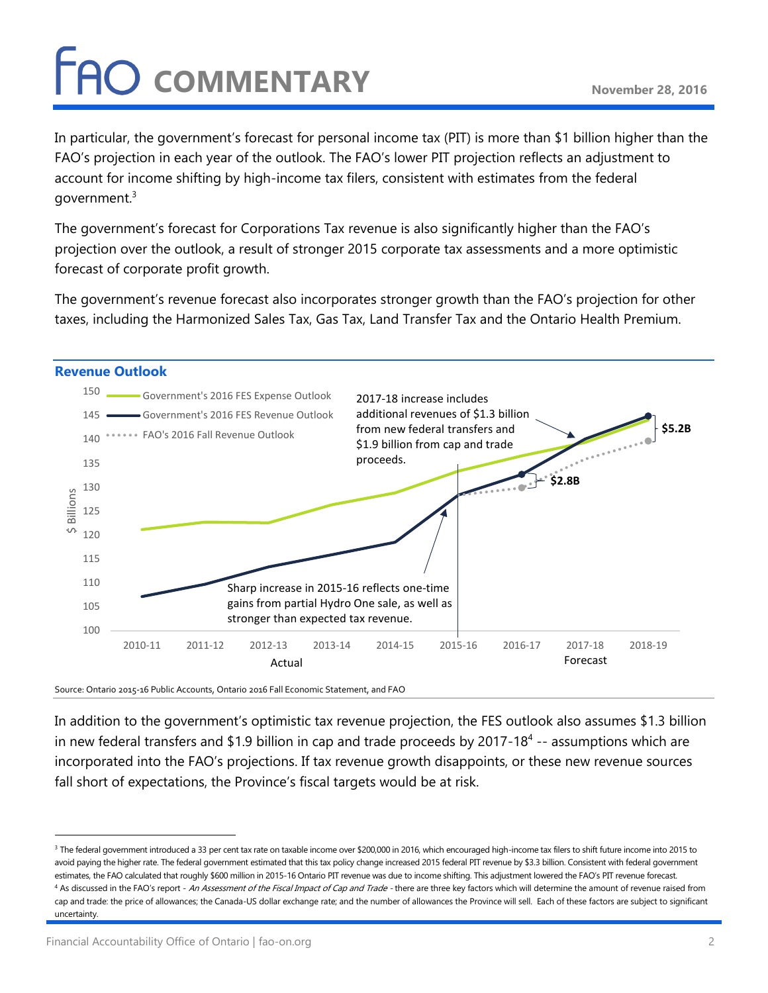# **FAO** COMMENTARY

In particular, the government's forecast for personal income tax (PIT) is more than \$1 billion higher than the FAO's projection in each year of the outlook. The FAO's lower PIT projection reflects an adjustment to account for income shifting by high-income tax filers, consistent with estimates from the federal government.<sup>3</sup>

The government's forecast for Corporations Tax revenue is also significantly higher than the FAO's projection over the outlook, a result of stronger 2015 corporate tax assessments and a more optimistic forecast of corporate profit growth.

The government's revenue forecast also incorporates stronger growth than the FAO's projection for other taxes, including the Harmonized Sales Tax, Gas Tax, Land Transfer Tax and the Ontario Health Premium.



Source: Ontario 2015-16 Public Accounts, Ontario 2016 Fall Economic Statement, and FAO

In addition to the government's optimistic tax revenue projection, the FES outlook also assumes \$1.3 billion in new federal transfers and \$1.9 billion in cap and trade proceeds by 2017-18<sup>4</sup> -- assumptions which are incorporated into the FAO's projections. If tax revenue growth disappoints, or these new revenue sources fall short of expectations, the Province's fiscal targets would be at risk.

<sup>&</sup>lt;sup>3</sup> The federal government introduced a 33 per cent tax rate on taxable income over \$200,000 in 2016, which encouraged high-income tax filers to shift future income into 2015 to avoid paying the higher rate. The federal government estimated that this tax policy change increased 2015 federal PIT revenue by \$3.3 billion. Consistent with federal government estimates, the FAO calculated that roughly \$600 million in 2015-16 Ontario PIT revenue was due to income shifting. This adjustment lowered the FAO's PIT revenue forecast. <sup>4</sup> As discussed in the FAO's report - An Assessment of the Fiscal Impact of Cap and Trade - there are three key factors which will determine the amount of revenue raised from cap and trade: the price of allowances; the Canada-US dollar exchange rate; and the number of allowances the Province will sell. Each of these factors are subject to significant uncertainty.